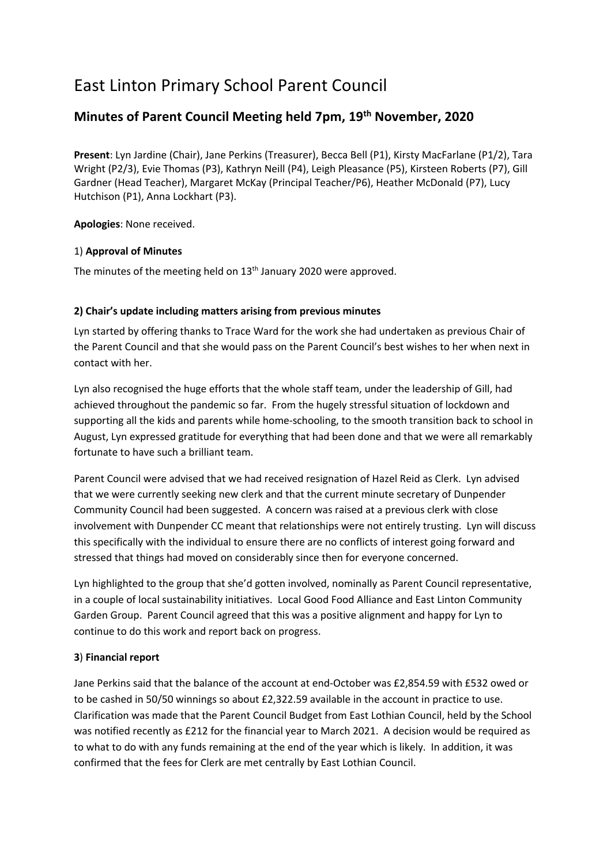# East Linton Primary School Parent Council

# **Minutes of Parent Council Meeting held 7pm, 19th November, 2020**

**Present**: Lyn Jardine (Chair), Jane Perkins (Treasurer), Becca Bell (P1), Kirsty MacFarlane (P1/2), Tara Wright (P2/3), Evie Thomas (P3), Kathryn Neill (P4), Leigh Pleasance (P5), Kirsteen Roberts (P7), Gill Gardner (Head Teacher), Margaret McKay (Principal Teacher/P6), Heather McDonald (P7), Lucy Hutchison (P1), Anna Lockhart (P3).

**Apologies**: None received.

# 1) **Approval of Minutes**

The minutes of the meeting held on 13<sup>th</sup> January 2020 were approved.

# **2) Chair's update including matters arising from previous minutes**

Lyn started by offering thanks to Trace Ward for the work she had undertaken as previous Chair of the Parent Council and that she would pass on the Parent Council's best wishes to her when next in contact with her.

Lyn also recognised the huge efforts that the whole staff team, under the leadership of Gill, had achieved throughout the pandemic so far. From the hugely stressful situation of lockdown and supporting all the kids and parents while home-schooling, to the smooth transition back to school in August, Lyn expressed gratitude for everything that had been done and that we were all remarkably fortunate to have such a brilliant team.

Parent Council were advised that we had received resignation of Hazel Reid as Clerk. Lyn advised that we were currently seeking new clerk and that the current minute secretary of Dunpender Community Council had been suggested. A concern was raised at a previous clerk with close involvement with Dunpender CC meant that relationships were not entirely trusting. Lyn will discuss this specifically with the individual to ensure there are no conflicts of interest going forward and stressed that things had moved on considerably since then for everyone concerned.

Lyn highlighted to the group that she'd gotten involved, nominally as Parent Council representative, in a couple of local sustainability initiatives. Local Good Food Alliance and East Linton Community Garden Group. Parent Council agreed that this was a positive alignment and happy for Lyn to continue to do this work and report back on progress.

# **3**) **Financial report**

Jane Perkins said that the balance of the account at end-October was £2,854.59 with £532 owed or to be cashed in 50/50 winnings so about £2,322.59 available in the account in practice to use. Clarification was made that the Parent Council Budget from East Lothian Council, held by the School was notified recently as £212 for the financial year to March 2021. A decision would be required as to what to do with any funds remaining at the end of the year which is likely. In addition, it was confirmed that the fees for Clerk are met centrally by East Lothian Council.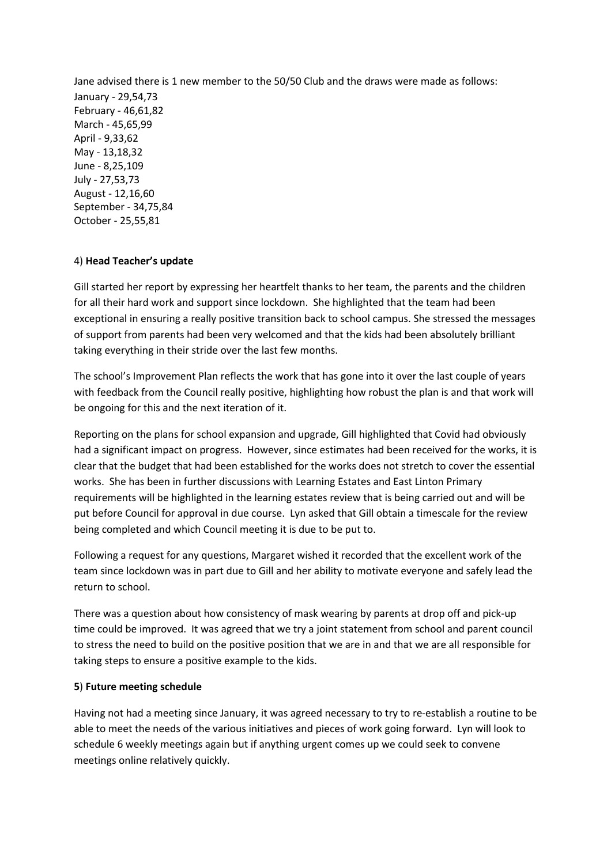Jane advised there is 1 new member to the 50/50 Club and the draws were made as follows: January - 29,54,73 February - 46,61,82 March - 45,65,99 April - 9,33,62 May - 13,18,32 June - 8,25,109 July - 27,53,73 August - 12,16,60 September - 34,75,84 October - 25,55,81

#### 4) **Head Teacher's update**

Gill started her report by expressing her heartfelt thanks to her team, the parents and the children for all their hard work and support since lockdown. She highlighted that the team had been exceptional in ensuring a really positive transition back to school campus. She stressed the messages of support from parents had been very welcomed and that the kids had been absolutely brilliant taking everything in their stride over the last few months.

The school's Improvement Plan reflects the work that has gone into it over the last couple of years with feedback from the Council really positive, highlighting how robust the plan is and that work will be ongoing for this and the next iteration of it.

Reporting on the plans for school expansion and upgrade, Gill highlighted that Covid had obviously had a significant impact on progress. However, since estimates had been received for the works, it is clear that the budget that had been established for the works does not stretch to cover the essential works. She has been in further discussions with Learning Estates and East Linton Primary requirements will be highlighted in the learning estates review that is being carried out and will be put before Council for approval in due course. Lyn asked that Gill obtain a timescale for the review being completed and which Council meeting it is due to be put to.

Following a request for any questions, Margaret wished it recorded that the excellent work of the team since lockdown was in part due to Gill and her ability to motivate everyone and safely lead the return to school.

There was a question about how consistency of mask wearing by parents at drop off and pick-up time could be improved. It was agreed that we try a joint statement from school and parent council to stress the need to build on the positive position that we are in and that we are all responsible for taking steps to ensure a positive example to the kids.

#### **5**) **Future meeting schedule**

Having not had a meeting since January, it was agreed necessary to try to re-establish a routine to be able to meet the needs of the various initiatives and pieces of work going forward. Lyn will look to schedule 6 weekly meetings again but if anything urgent comes up we could seek to convene meetings online relatively quickly.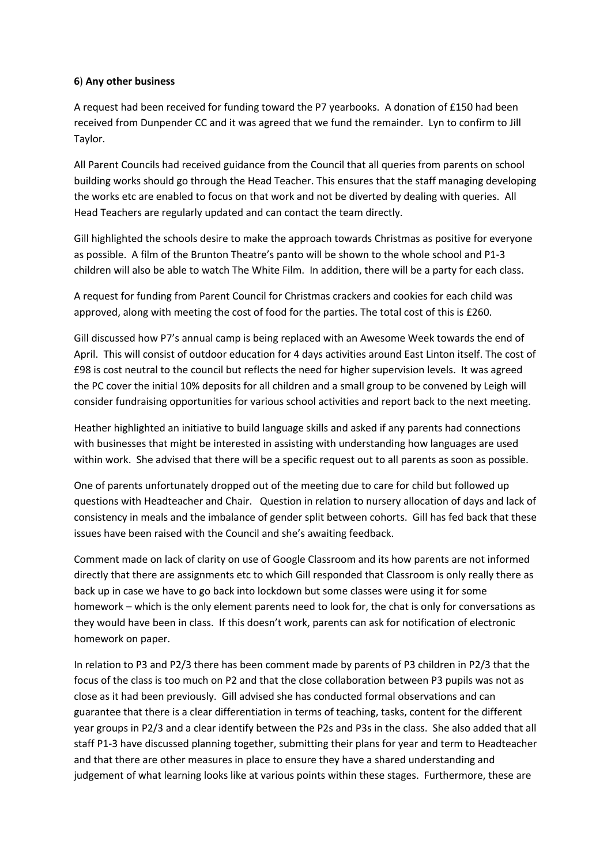#### **6**) **Any other business**

A request had been received for funding toward the P7 yearbooks. A donation of £150 had been received from Dunpender CC and it was agreed that we fund the remainder. Lyn to confirm to Jill Taylor.

All Parent Councils had received guidance from the Council that all queries from parents on school building works should go through the Head Teacher. This ensures that the staff managing developing the works etc are enabled to focus on that work and not be diverted by dealing with queries. All Head Teachers are regularly updated and can contact the team directly.

Gill highlighted the schools desire to make the approach towards Christmas as positive for everyone as possible. A film of the Brunton Theatre's panto will be shown to the whole school and P1-3 children will also be able to watch The White Film. In addition, there will be a party for each class.

A request for funding from Parent Council for Christmas crackers and cookies for each child was approved, along with meeting the cost of food for the parties. The total cost of this is £260.

Gill discussed how P7's annual camp is being replaced with an Awesome Week towards the end of April. This will consist of outdoor education for 4 days activities around East Linton itself. The cost of £98 is cost neutral to the council but reflects the need for higher supervision levels. It was agreed the PC cover the initial 10% deposits for all children and a small group to be convened by Leigh will consider fundraising opportunities for various school activities and report back to the next meeting.

Heather highlighted an initiative to build language skills and asked if any parents had connections with businesses that might be interested in assisting with understanding how languages are used within work. She advised that there will be a specific request out to all parents as soon as possible.

One of parents unfortunately dropped out of the meeting due to care for child but followed up questions with Headteacher and Chair. Question in relation to nursery allocation of days and lack of consistency in meals and the imbalance of gender split between cohorts. Gill has fed back that these issues have been raised with the Council and she's awaiting feedback.

Comment made on lack of clarity on use of Google Classroom and its how parents are not informed directly that there are assignments etc to which Gill responded that Classroom is only really there as back up in case we have to go back into lockdown but some classes were using it for some homework – which is the only element parents need to look for, the chat is only for conversations as they would have been in class. If this doesn't work, parents can ask for notification of electronic homework on paper.

In relation to P3 and P2/3 there has been comment made by parents of P3 children in P2/3 that the focus of the class is too much on P2 and that the close collaboration between P3 pupils was not as close as it had been previously. Gill advised she has conducted formal observations and can guarantee that there is a clear differentiation in terms of teaching, tasks, content for the different year groups in P2/3 and a clear identify between the P2s and P3s in the class. She also added that all staff P1-3 have discussed planning together, submitting their plans for year and term to Headteacher and that there are other measures in place to ensure they have a shared understanding and judgement of what learning looks like at various points within these stages. Furthermore, these are